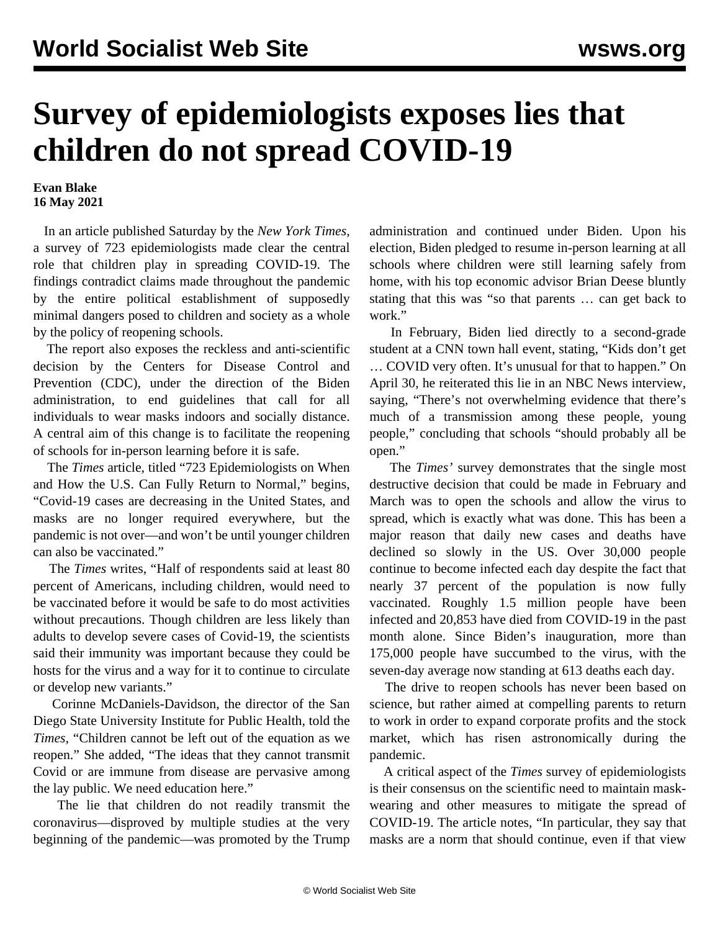## **Survey of epidemiologists exposes lies that children do not spread COVID-19**

## **Evan Blake 16 May 2021**

 In an article published Saturday by the *New York Times,* a survey of 723 epidemiologists made clear the central role that children play in spreading COVID-19. The findings contradict claims made throughout the pandemic by the entire political establishment of supposedly minimal dangers posed to children and society as a whole by the policy of reopening schools.

 The report also exposes the reckless and anti-scientific decision by the Centers for Disease Control and Prevention (CDC), under the direction of the Biden administration, to end guidelines that call for all individuals to wear masks indoors and socially distance. A central aim of this change is to facilitate the reopening of schools for in-person learning before it is safe.

 The *Times* article, titled "723 Epidemiologists on When and How the U.S. Can Fully Return to Normal," begins, "Covid-19 cases are decreasing in the United States, and masks are no longer required everywhere, but the pandemic is not over—and won't be until younger children can also be vaccinated."

 The *Times* writes, "Half of respondents said at least 80 percent of Americans, including children, would need to be vaccinated before it would be safe to do most activities without precautions. Though children are less likely than adults to develop severe cases of Covid-19, the scientists said their immunity was important because they could be hosts for the virus and a way for it to continue to circulate or develop new variants."

 Corinne McDaniels-Davidson, the director of the San Diego State University Institute for Public Health, told the *Times*, "Children cannot be left out of the equation as we reopen." She added, "The ideas that they cannot transmit Covid or are immune from disease are pervasive among the lay public. We need education here."

 The lie that children do not readily transmit the coronavirus—disproved by multiple studies at the very beginning of the pandemic—was promoted by the Trump

administration and continued under Biden. Upon his election, Biden pledged to resume in-person learning at all schools where children were still learning safely from home, with his top economic advisor Brian Deese bluntly stating that this was "so that parents … can get back to work."

 In February, Biden lied directly to a second-grade student at a CNN town hall event, stating, "Kids don't get … COVID very often. It's unusual for that to happen." On April 30, he reiterated this lie in an NBC News interview, saying, "There's not overwhelming evidence that there's much of a transmission among these people, young people," concluding that schools "should probably all be open."

 The *Times'* survey demonstrates that the single most destructive decision that could be made in February and March was to open the schools and allow the virus to spread, which is exactly what was done. This has been a major reason that daily new cases and deaths have declined so slowly in the US. Over 30,000 people continue to become infected each day despite the fact that nearly 37 percent of the population is now fully vaccinated. Roughly 1.5 million people have been infected and 20,853 have died from COVID-19 in the past month alone. Since Biden's inauguration, more than 175,000 people have succumbed to the virus, with the seven-day average now standing at 613 deaths each day.

 The drive to reopen schools has never been based on science, but rather aimed at compelling parents to return to work in order to expand corporate profits and the stock market, which has risen astronomically during the pandemic.

 A critical aspect of the *Times* survey of epidemiologists is their consensus on the scientific need to maintain maskwearing and other measures to mitigate the spread of COVID-19. The article notes, "In particular, they say that masks are a norm that should continue, even if that view